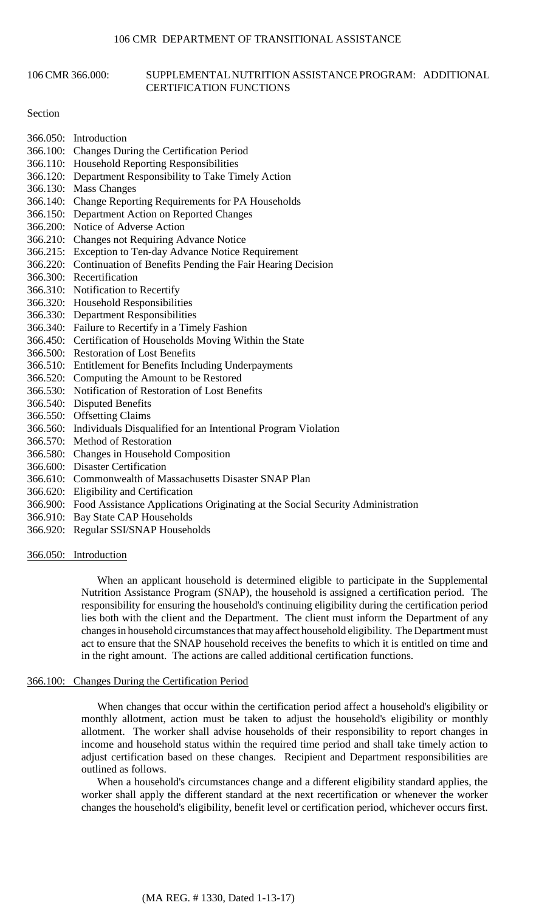### 106 CMR 366.000: SUPPLEMENTAL NUTRITION ASSISTANCE PROGRAM: ADDITIONAL CERTIFICATION FUNCTIONS

### Section

- 366.050: Introduction 366.100: Changes During the Certification Period 366.110: Household Reporting Responsibilities
- 366.120: Department Responsibility to Take Timely Action
- 366.130: Mass Changes
- 366.140: Change Reporting Requirements for PA Households
- 366.150: Department Action on Reported Changes
- 366.200: Notice of Adverse Action
- 366.210: Changes not Requiring Advance Notice
- 366.215: Exception to Ten-day Advance Notice Requirement
- 366.220: Continuation of Benefits Pending the Fair Hearing Decision
- 366.300: Recertification
- 366.310: Notification to Recertify
- 366.320: Household Responsibilities
- 366.330: Department Responsibilities
- 366.340: Failure to Recertify in a Timely Fashion
- 366.450: Certification of Households Moving Within the State
- 366.500: Restoration of Lost Benefits
- 366.510: Entitlement for Benefits Including Underpayments
- 366.520: Computing the Amount to be Restored
- 366.530: Notification of Restoration of Lost Benefits
- 366.540: Disputed Benefits
- 366.550: Offsetting Claims
- 366.560: Individuals Disqualified for an Intentional Program Violation
- 366.570: Method of Restoration
- 366.580: Changes in Household Composition
- 366.600: Disaster Certification
- 366.610: Commonwealth of Massachusetts Disaster SNAP Plan
- 366.620: Eligibility and Certification
- 366.900: Food Assistance Applications Originating at the Social Security Administration
- 366.910: Bay State CAP Households
- 366.920: Regular SSI/SNAP Households
- 366.050: Introduction

When an applicant household is determined eligible to participate in the Supplemental Nutrition Assistance Program (SNAP), the household is assigned a certification period. The responsibility for ensuring the household's continuing eligibility during the certification period lies both with the client and the Department. The client must inform the Department of any changes in household circumstances that may affect household eligibility. The Department must act to ensure that the SNAP household receives the benefits to which it is entitled on time and in the right amount. The actions are called additional certification functions.

# 366.100: Changes During the Certification Period

When changes that occur within the certification period affect a household's eligibility or monthly allotment, action must be taken to adjust the household's eligibility or monthly allotment. The worker shall advise households of their responsibility to report changes in income and household status within the required time period and shall take timely action to adjust certification based on these changes. Recipient and Department responsibilities are outlined as follows.

When a household's circumstances change and a different eligibility standard applies, the worker shall apply the different standard at the next recertification or whenever the worker changes the household's eligibility, benefit level or certification period, whichever occurs first.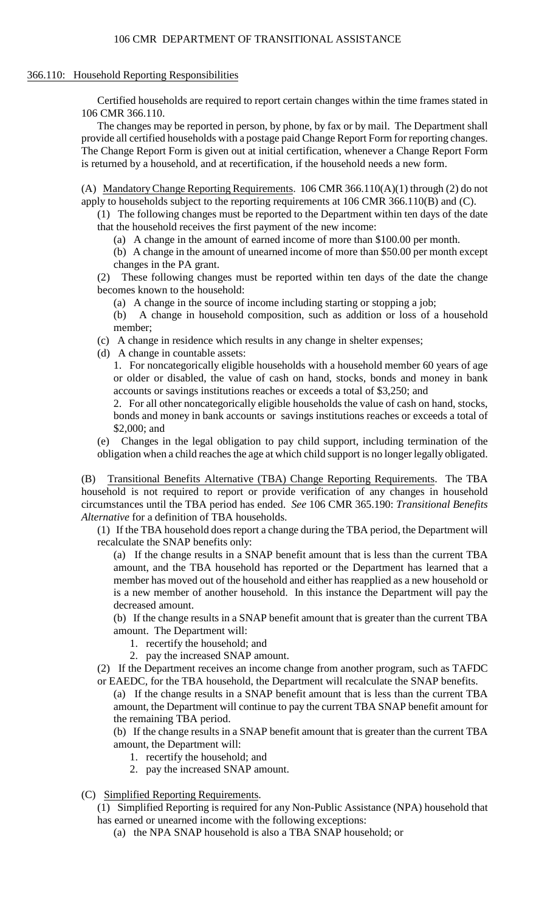# 366.110: Household Reporting Responsibilities

Certified households are required to report certain changes within the time frames stated in 106 CMR 366.110.

The changes may be reported in person, by phone, by fax or by mail. The Department shall provide all certified households with a postage paid Change Report Form for reporting changes. The Change Report Form is given out at initial certification, whenever a Change Report Form is returned by a household, and at recertification, if the household needs a new form.

(A) Mandatory Change Reporting Requirements. 106 CMR 366.110(A)(1) through (2) do not apply to households subject to the reporting requirements at 106 CMR 366.110(B) and (C).

(1) The following changes must be reported to the Department within ten days of the date that the household receives the first payment of the new income:

(a) A change in the amount of earned income of more than \$100.00 per month.

 (b) A change in the amount of unearned income of more than \$50.00 per month except changes in the PA grant.

 (2) These following changes must be reported within ten days of the date the change becomes known to the household:

(a) A change in the source of income including starting or stopping a job;

(b) A change in household composition, such as addition or loss of a household member;

(c) A change in residence which results in any change in shelter expenses;

(d) A change in countable assets:

 1. For noncategorically eligible households with a household member 60 years of age or older or disabled, the value of cash on hand, stocks, bonds and money in bank accounts or savings institutions reaches or exceeds a total of \$3,250; and

 2. For all other noncategorically eligible households the value of cash on hand, stocks, bonds and money in bank accounts or savings institutions reaches or exceeds a total of \$2,000; and

 (e) Changes in the legal obligation to pay child support, including termination of the obligation when a child reaches the age at which child support is no longer legally obligated.

(B) Transitional Benefits Alternative (TBA) Change Reporting Requirements. The TBA household is not required to report or provide verification of any changes in household circumstances until the TBA period has ended. *See* 106 CMR 365.190: *Transitional Benefits Alternative* for a definition of TBA households.

 (1) If the TBA household does report a change during the TBA period, the Department will recalculate the SNAP benefits only:

 (a) If the change results in a SNAP benefit amount that is less than the current TBA amount, and the TBA household has reported or the Department has learned that a member has moved out of the household and either has reapplied as a new household or is a new member of another household. In this instance the Department will pay the decreased amount.

 (b) If the change results in a SNAP benefit amount that is greater than the current TBA amount. The Department will:

- 1. recertify the household; and
- 2. pay the increased SNAP amount.

(2) If the Department receives an income change from another program, such as TAFDC or EAEDC, for the TBA household, the Department will recalculate the SNAP benefits.

 (a) If the change results in a SNAP benefit amount that is less than the current TBA amount, the Department will continue to pay the current TBA SNAP benefit amount for the remaining TBA period.

 (b) If the change results in a SNAP benefit amount that is greater than the current TBA amount, the Department will:

- 1. recertify the household; and
- 2. pay the increased SNAP amount.
- (C) Simplified Reporting Requirements.

(1) Simplified Reporting is required for any Non-Public Assistance (NPA) household that has earned or unearned income with the following exceptions:

(a) the NPA SNAP household is also a TBA SNAP household; or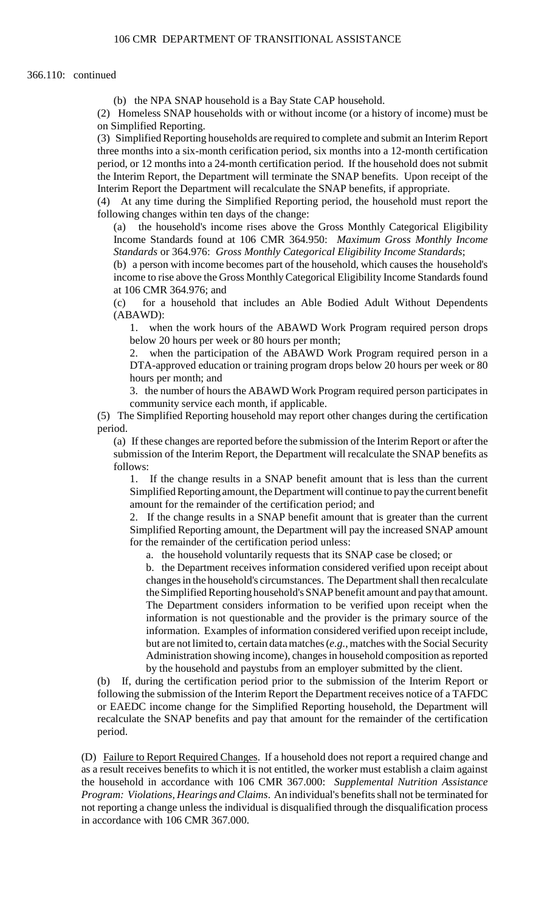(b) the NPA SNAP household is a Bay State CAP household.

(2) Homeless SNAP households with or without income (or a history of income) must be on Simplified Reporting.

(3) Simplified Reporting households are required to complete and submit an Interim Report three months into a six-month cerification period, six months into a 12-month certification period, or 12 months into a 24-month certification period. If the household does not submit the Interim Report, the Department will terminate the SNAP benefits. Upon receipt of the Interim Report the Department will recalculate the SNAP benefits, if appropriate.

(4) At any time during the Simplified Reporting period, the household must report the following changes within ten days of the change:

(a) the household's income rises above the Gross Monthly Categorical Eligibility Income Standards found at 106 CMR 364.950: *Maximum Gross Monthly Income Standards* or 364.976: *Gross Monthly Categorical Eligibility Income Standards*;

 (b) a person with income becomes part of the household, which causes the household's income to rise above the Gross Monthly Categorical Eligibility Income Standards found at 106 CMR 364.976; and

(c) for a household that includes an Able Bodied Adult Without Dependents (ABAWD):

 1. when the work hours of the ABAWD Work Program required person drops below 20 hours per week or 80 hours per month;

2. when the participation of the ABAWD Work Program required person in a DTA-approved education or training program drops below 20 hours per week or 80 hours per month; and

 3. the number of hours the ABAWD Work Program required person participates in community service each month, if applicable.

(5) The Simplified Reporting household may report other changes during the certification period.

 (a) If these changes are reported before the submission of the Interim Report or after the submission of the Interim Report, the Department will recalculate the SNAP benefits as follows:

 1. If the change results in a SNAP benefit amount that is less than the current Simplified Reporting amount, the Department will continue to pay the current benefit amount for the remainder of the certification period; and

2. If the change results in a SNAP benefit amount that is greater than the current Simplified Reporting amount, the Department will pay the increased SNAP amount for the remainder of the certification period unless:

a. the household voluntarily requests that its SNAP case be closed; or

 changes in the household's circumstances. The Department shall then recalculate b. the Department receives information considered verified upon receipt about the Simplified Reporting household's SNAP benefit amount and pay that amount. The Department considers information to be verified upon receipt when the information is not questionable and the provider is the primary source of the information. Examples of information considered verified upon receipt include, but are not limited to, certain data matches (*e.g*., matches with the Social Security Administration showing income), changes in household composition as reported by the household and paystubs from an employer submitted by the client.

(b) If, during the certification period prior to the submission of the Interim Report or following the submission of the Interim Report the Department receives notice of a TAFDC or EAEDC income change for the Simplified Reporting household, the Department will recalculate the SNAP benefits and pay that amount for the remainder of the certification period.

 as a result receives benefits to which it is not entitled, the worker must establish a claim against (D) Failure to Report Required Changes. If a household does not report a required change and the household in accordance with 106 CMR 367.000: *Supplemental Nutrition Assistance Program: Violations, Hearings and Claims*. An individual's benefits shall not be terminated for not reporting a change unless the individual is disqualified through the disqualification process in accordance with 106 CMR 367.000.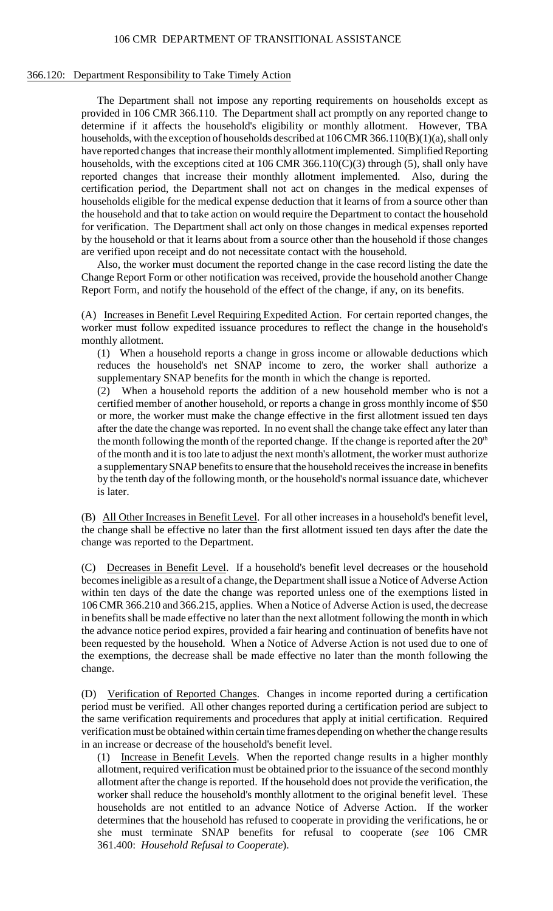# 366.120: Department Responsibility to Take Timely Action

 The Department shall not impose any reporting requirements on households except as provided in 106 CMR 366.110. The Department shall act promptly on any reported change to the household and that to take action on would require the Department to contact the household by the household or that it learns about from a source other than the household if those changes determine if it affects the household's eligibility or monthly allotment. However, TBA households, with the exception of households described at  $106 \text{CMR } 366.110(B)(1)(a)$ , shall only have reported changes that increase their monthly allotment implemented. Simplified Reporting households, with the exceptions cited at 106 CMR 366.110( $C$ )(3) through (5), shall only have reported changes that increase their monthly allotment implemented. Also, during the certification period, the Department shall not act on changes in the medical expenses of households eligible for the medical expense deduction that it learns of from a source other than for verification. The Department shall act only on those changes in medical expenses reported are verified upon receipt and do not necessitate contact with the household.

Also, the worker must document the reported change in the case record listing the date the Change Report Form or other notification was received, provide the household another Change Report Form, and notify the household of the effect of the change, if any, on its benefits.

(A) Increases in Benefit Level Requiring Expedited Action. For certain reported changes, the worker must follow expedited issuance procedures to reflect the change in the household's monthly allotment.

(1) When a household reports a change in gross income or allowable deductions which reduces the household's net SNAP income to zero, the worker shall authorize a supplementary SNAP benefits for the month in which the change is reported.

 or more, the worker must make the change effective in the first allotment issued ten days of the month and it is too late to adjust the next month's allotment, the worker must authorize a supplementary SNAP benefits to ensure that the household receives the increase in benefits (2) When a household reports the addition of a new household member who is not a certified member of another household, or reports a change in gross monthly income of \$50 after the date the change was reported. In no event shall the change take effect any later than the month following the month of the reported change. If the change is reported after the  $20<sup>th</sup>$ by the tenth day of the following month, or the household's normal issuance date, whichever is later.

(B) All Other Increases in Benefit Level. For all other increases in a household's benefit level, the change shall be effective no later than the first allotment issued ten days after the date the change was reported to the Department.

 106 CMR 366.210 and 366.215, applies. When a Notice of Adverse Action is used, the decrease (C) Decreases in Benefit Level. If a household's benefit level decreases or the household becomes ineligible as a result of a change, the Department shall issue a Notice of Adverse Action within ten days of the date the change was reported unless one of the exemptions listed in in benefits shall be made effective no later than the next allotment following the month in which the advance notice period expires, provided a fair hearing and continuation of benefits have not been requested by the household. When a Notice of Adverse Action is not used due to one of the exemptions, the decrease shall be made effective no later than the month following the change.

 period must be verified. All other changes reported during a certification period are subject to (D) Verification of Reported Changes. Changes in income reported during a certification the same verification requirements and procedures that apply at initial certification. Required verification must be obtained within certain time frames depending on whether the change results in an increase or decrease of the household's benefit level.

 allotment, required verification must be obtained prior to the issuance of the second monthly (1) Increase in Benefit Levels. When the reported change results in a higher monthly allotment after the change is reported. If the household does not provide the verification, the worker shall reduce the household's monthly allotment to the original benefit level. These households are not entitled to an advance Notice of Adverse Action. If the worker determines that the household has refused to cooperate in providing the verifications, he or she must terminate SNAP benefits for refusal to cooperate (*see* 106 CMR 361.400: *Household Refusal to Cooperate*).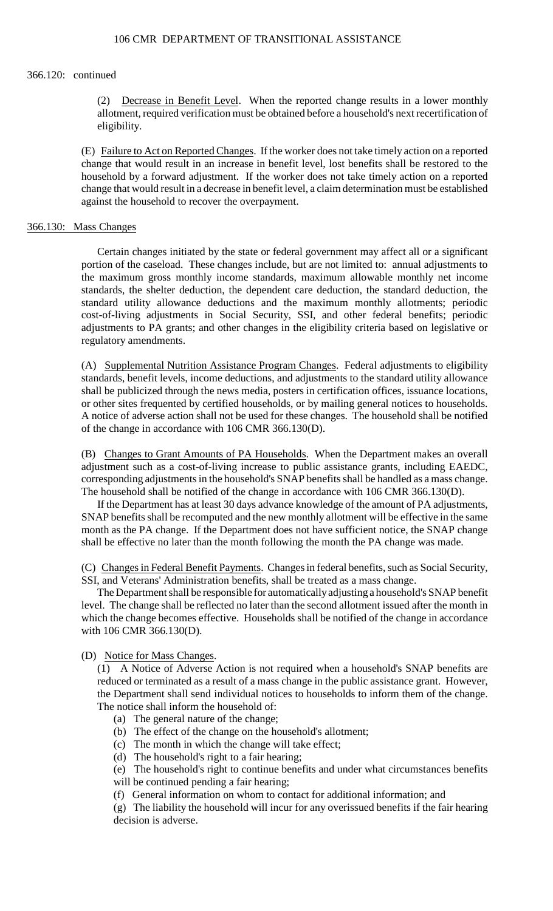## 366.120: continued

(2) Decrease in Benefit Level. When the reported change results in a lower monthly allotment, required verification must be obtained before a household's next recertification of eligibility.

(E) Failure to Act on Reported Changes. If the worker does not take timely action on a reported change that would result in an increase in benefit level, lost benefits shall be restored to the household by a forward adjustment. If the worker does not take timely action on a reported change that would result in a decrease in benefit level, a claim determination must be established against the household to recover the overpayment.

### 366.130: Mass Changes

Certain changes initiated by the state or federal government may affect all or a significant portion of the caseload. These changes include, but are not limited to: annual adjustments to the maximum gross monthly income standards, maximum allowable monthly net income standards, the shelter deduction, the dependent care deduction, the standard deduction, the standard utility allowance deductions and the maximum monthly allotments; periodic cost-of-living adjustments in Social Security, SSI, and other federal benefits; periodic adjustments to PA grants; and other changes in the eligibility criteria based on legislative or regulatory amendments.

 shall be publicized through the news media, posters in certification offices, issuance locations, (A) Supplemental Nutrition Assistance Program Changes. Federal adjustments to eligibility standards, benefit levels, income deductions, and adjustments to the standard utility allowance or other sites frequented by certified households, or by mailing general notices to households. A notice of adverse action shall not be used for these changes. The household shall be notified of the change in accordance with 106 CMR 366.130(D).

(B) Changes to Grant Amounts of PA Households. When the Department makes an overall adjustment such as a cost-of-living increase to public assistance grants, including EAEDC, corresponding adjustments in the household's SNAP benefits shall be handled as a mass change. The household shall be notified of the change in accordance with 106 CMR 366.130(D).

 If the Department has at least 30 days advance knowledge of the amount of PA adjustments, month as the PA change. If the Department does not have sufficient notice, the SNAP change SNAP benefits shall be recomputed and the new monthly allotment will be effective in the same shall be effective no later than the month following the month the PA change was made.

 (C) Changes in Federal Benefit Payments. Changes in federal benefits, such as Social Security, SSI, and Veterans' Administration benefits, shall be treated as a mass change.

 The Department shall be responsible for automaticallyadjusting a household's SNAP benefit level. The change shall be reflected no later than the second allotment issued after the month in which the change becomes effective. Households shall be notified of the change in accordance with 106 CMR 366.130(D).

# (D) Notice for Mass Changes.

(1) A Notice of Adverse Action is not required when a household's SNAP benefits are reduced or terminated as a result of a mass change in the public assistance grant. However, the Department shall send individual notices to households to inform them of the change. The notice shall inform the household of:

- (a) The general nature of the change;
- (b) The effect of the change on the household's allotment;
- (c) The month in which the change will take effect;
- (d) The household's right to a fair hearing;

(e) The household's right to continue benefits and under what circumstances benefits will be continued pending a fair hearing;

(f) General information on whom to contact for additional information; and

(g) The liability the household will incur for any overissued benefits if the fair hearing decision is adverse.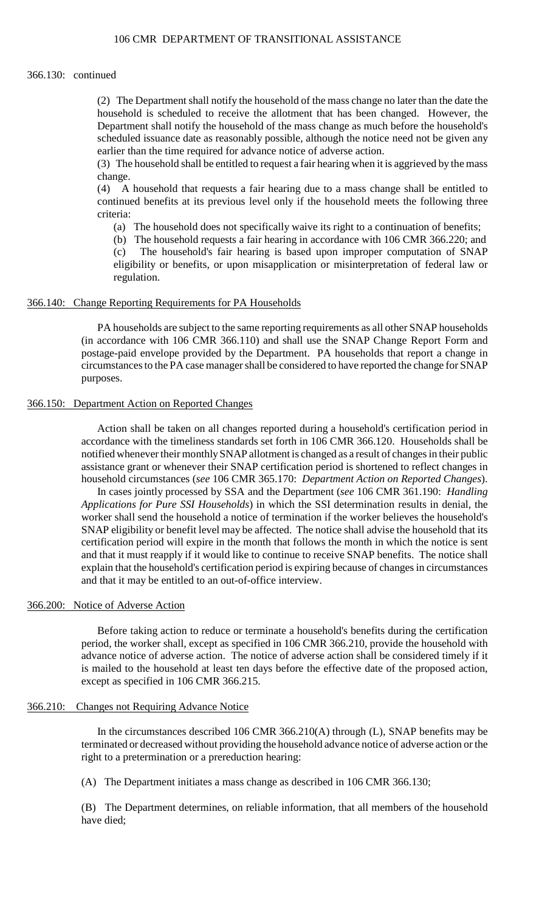### 366.130: continued

 scheduled issuance date as reasonably possible, although the notice need not be given any (2) The Department shall notify the household of the mass change no later than the date the household is scheduled to receive the allotment that has been changed. However, the Department shall notify the household of the mass change as much before the household's earlier than the time required for advance notice of adverse action.

(3) The household shall be entitled to request a fair hearing when it is aggrieved by the mass change.

 $(4)$ (4) A household that requests a fair hearing due to a mass change shall be entitled to continued benefits at its previous level only if the household meets the following three criteria:

(a) The household does not specifically waive its right to a continuation of benefits;

(b) The household requests a fair hearing in accordance with 106 CMR 366.220; and (c) The household's fair hearing is based upon improper computation of SNAP eligibility or benefits, or upon misapplication or misinterpretation of federal law or regulation.

### 366.140: Change Reporting Requirements for PA Households

PA households are subject to the same reporting requirements as all other SNAP households (in accordance with 106 CMR 366.110) and shall use the SNAP Change Report Form and postage-paid envelope provided by the Department. PA households that report a change in circumstances to the PA case manager shall be considered to have reported the change for SNAP purposes.

### 366.150: Department Action on Reported Changes

 notified whenever their monthly SNAP allotment is changed as a result of changes in their public Action shall be taken on all changes reported during a household's certification period in accordance with the timeliness standards set forth in 106 CMR 366.120. Households shall be assistance grant or whenever their SNAP certification period is shortened to reflect changes in household circumstances (*see* 106 CMR 365.170: *Department Action on Reported Changes*).

 In cases jointly processed by SSA and the Department (*see* 106 CMR 361.190: *Handling*  SNAP eligibility or benefit level may be affected. The notice shall advise the household that its and that it must reapply if it would like to continue to receive SNAP benefits. The notice shall *Applications for Pure SSI Households*) in which the SSI determination results in denial, the worker shall send the household a notice of termination if the worker believes the household's certification period will expire in the month that follows the month in which the notice is sent explain that the household's certification period is expiring because of changes in circumstances and that it may be entitled to an out-of-office interview.

# 366.200: Notice of Adverse Action

 advance notice of adverse action. The notice of adverse action shall be considered timely if it Before taking action to reduce or terminate a household's benefits during the certification period, the worker shall, except as specified in 106 CMR 366.210, provide the household with is mailed to the household at least ten days before the effective date of the proposed action, except as specified in 106 CMR 366.215.

#### 366.210: Changes not Requiring Advance Notice

 In the circumstances described 106 CMR 366.210(A) through (L), SNAP benefits may be terminated or decreased without providing the household advance notice of adverse action or the right to a pretermination or a prereduction hearing:

(A) The Department initiates a mass change as described in 106 CMR 366.130;

(B) The Department determines, on reliable information, that all members of the household have died;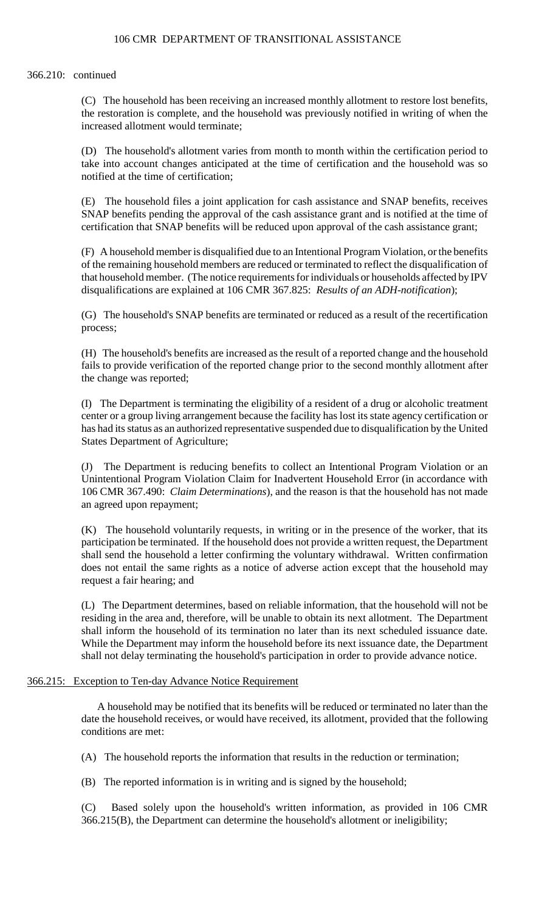# 366.210: continued

(C) The household has been receiving an increased monthly allotment to restore lost benefits, the restoration is complete, and the household was previously notified in writing of when the increased allotment would terminate;

 (D) The household's allotment varies from month to month within the certification period to take into account changes anticipated at the time of certification and the household was so notified at the time of certification;

(E) The household files a joint application for cash assistance and SNAP benefits, receives SNAP benefits pending the approval of the cash assistance grant and is notified at the time of certification that SNAP benefits will be reduced upon approval of the cash assistance grant;

 (F) A household member is disqualified due to an Intentional Program Violation, or the benefits that household member. (The notice requirements for individuals or households affected by IPV of the remaining household members are reduced or terminated to reflect the disqualification of disqualifications are explained at 106 CMR 367.825: *Results of an ADH-notification*);

(G) The household's SNAP benefits are terminated or reduced as a result of the recertification process;

 (H) The household's benefits are increased as the result of a reported change and the household fails to provide verification of the reported change prior to the second monthly allotment after the change was reported;

(I) The Department is terminating the eligibility of a resident of a drug or alcoholic treatment center or a group living arrangement because the facility has lost its state agency certification or has had its status as an authorized representative suspended due to disqualification by the United States Department of Agriculture;

(J) The Department is reducing benefits to collect an Intentional Program Violation or an Unintentional Program Violation Claim for Inadvertent Household Error (in accordance with 106 CMR 367.490: *Claim Determinations*), and the reason is that the household has not made an agreed upon repayment;

 (K) The household voluntarily requests, in writing or in the presence of the worker, that its participation be terminated. If the household does not provide a written request, the Department shall send the household a letter confirming the voluntary withdrawal. Written confirmation does not entail the same rights as a notice of adverse action except that the household may request a fair hearing; and

 shall inform the household of its termination no later than its next scheduled issuance date. (L) The Department determines, based on reliable information, that the household will not be residing in the area and, therefore, will be unable to obtain its next allotment. The Department While the Department may inform the household before its next issuance date, the Department shall not delay terminating the household's participation in order to provide advance notice.

# 366.215: Exception to Ten-day Advance Notice Requirement

A household may be notified that its benefits will be reduced or terminated no later than the date the household receives, or would have received, its allotment, provided that the following conditions are met:

(A) The household reports the information that results in the reduction or termination;

(B) The reported information is in writing and is signed by the household;

(C) Based solely upon the household's written information, as provided in 106 CMR 366.215(B), the Department can determine the household's allotment or ineligibility;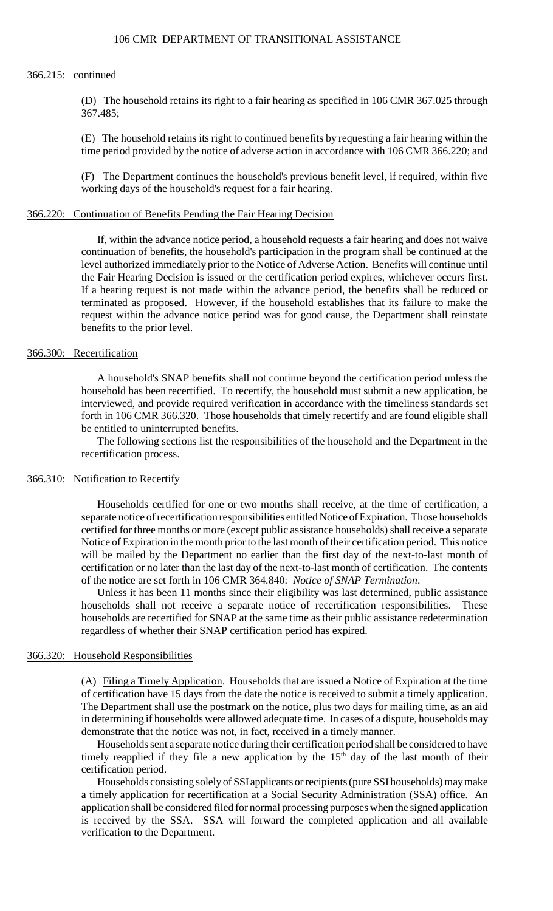#### 366.215: continued

 (D) The household retains its right to a fair hearing as specified in 106 CMR 367.025 through 367.485;

(E) The household retains its right to continued benefits by requesting a fair hearing within the time period provided by the notice of adverse action in accordance with 106 CMR 366.220; and

(F) The Department continues the household's previous benefit level, if required, within five working days of the household's request for a fair hearing.

### 366.220: Continuation of Benefits Pending the Fair Hearing Decision

 level authorized immediately prior to the Notice of Adverse Action. Benefits will continue until If a hearing request is not made within the advance period, the benefits shall be reduced or terminated as proposed. However, if the household establishes that its failure to make the If, within the advance notice period, a household requests a fair hearing and does not waive continuation of benefits, the household's participation in the program shall be continued at the the Fair Hearing Decision is issued or the certification period expires, whichever occurs first. request within the advance notice period was for good cause, the Department shall reinstate benefits to the prior level.

# 366.300: Recertification

 forth in 106 CMR 366.320. Those households that timely recertify and are found eligible shall A household's SNAP benefits shall not continue beyond the certification period unless the household has been recertified. To recertify, the household must submit a new application, be interviewed, and provide required verification in accordance with the timeliness standards set be entitled to uninterrupted benefits.

The following sections list the responsibilities of the household and the Department in the recertification process.

#### 366.310: Notification to Recertify

 Households certified for one or two months shall receive, at the time of certification, a separate notice of recertification responsibilities entitled Notice of Expiration. Those households certified for three months or more (except public assistance households) shall receive a separate Notice of Expiration in the month prior to the last month of their certification period. This notice will be mailed by the Department no earlier than the first day of the next-to-last month of certification or no later than the last day of the next-to-last month of certification. The contents of the notice are set forth in 106 CMR 364.840: *Notice of SNAP Termination*.

Unless it has been 11 months since their eligibility was last determined, public assistance households shall not receive a separate notice of recertification responsibilities. These households are recertified for SNAP at the same time as their public assistance redetermination regardless of whether their SNAP certification period has expired.

#### 366.320: Household Responsibilities

(A) Filing a Timely Application. Households that are issued a Notice of Expiration at the time The Department shall use the postmark on the notice, plus two days for mailing time, as an aid of certification have 15 days from the date the notice is received to submit a timely application. in determining if households were allowed adequate time. In cases of a dispute, households may demonstrate that the notice was not, in fact, received in a timely manner.

Households sent a separate notice during their certification period shall be considered to have timely reapplied if they file a new application by the 15<sup>th</sup> day of the last month of their certification period.

Households consisting solely of SSI applicants or recipients (pure SSI households) may make a timely application for recertification at a Social Security Administration (SSA) office. An application shall be considered filed for normal processing purposes when the signed application is received by the SSA. SSA will forward the completed application and all available verification to the Department.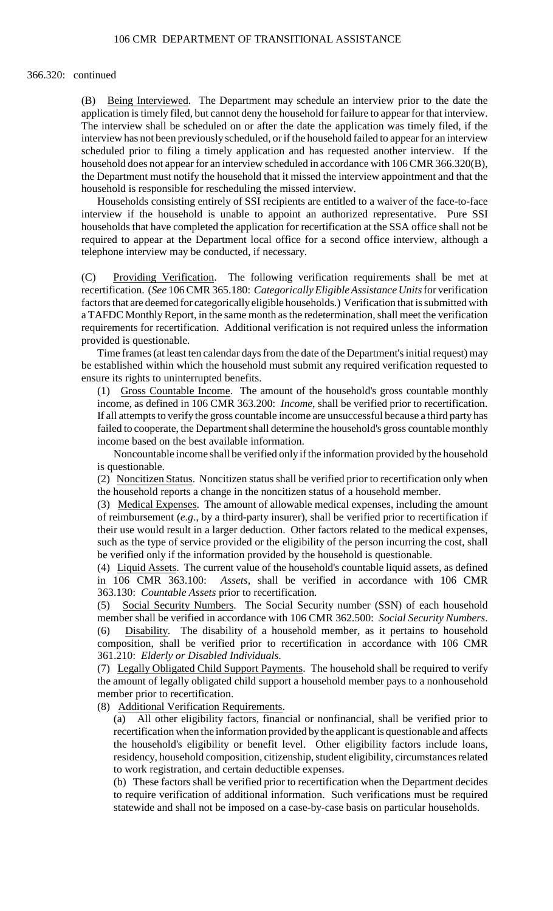### 366.320: continued

(B) Being Interviewed. The Department may schedule an interview prior to the date the application is timely filed, but cannot deny the household for failure to appear for that interview. The interview shall be scheduled on or after the date the application was timely filed, if the interview has not been previously scheduled, or if the household failed to appear for an interview scheduled prior to filing a timely application and has requested another interview. If the household does not appear for an interview scheduled in accordance with 106 CMR 366.320(B), the Department must notify the household that it missed the interview appointment and that the household is responsible for rescheduling the missed interview.

 Households consisting entirely of SSI recipients are entitled to a waiver of the face-to-face interview if the household is unable to appoint an authorized representative. Pure SSI households that have completed the application for recertification at the SSA office shall not be required to appear at the Department local office for a second office interview, although a telephone interview may be conducted, if necessary.

 (C) Providing Verification. The following verification requirements shall be met at recertification. (*See* 106 CMR 365.180: *Categorically Eligible Assistance Units* for verification factors that are deemed for categorically eligible households.) Verification that is submitted with a TAFDC Monthly Report, in the same month as the redetermination, shall meet the verification requirements for recertification. Additional verification is not required unless the information provided is questionable.

Time frames (at least ten calendar days from the date of the Department's initial request) may be established within which the household must submit any required verification requested to ensure its rights to uninterrupted benefits.

(1) Gross Countable Income. The amount of the household's gross countable monthly income, as defined in 106 CMR 363.200: *Income*, shall be verified prior to recertification. If all attempts to verify the gross countable income are unsuccessful because a third party has failed to cooperate, the Department shall determine the household's gross countable monthly income based on the best available information.

Noncountable income shall be verified only if the information provided by the household is questionable.

(2) Noncitizen Status. Noncitizen status shall be verified prior to recertification only when the household reports a change in the noncitizen status of a household member.

 of reimbursement (*e.g*., by a third-party insurer), shall be verified prior to recertification if their use would result in a larger deduction. Other factors related to the medical expenses, (3) Medical Expenses. The amount of allowable medical expenses, including the amount such as the type of service provided or the eligibility of the person incurring the cost, shall be verified only if the information provided by the household is questionable.

(4) Liquid Assets. The current value of the household's countable liquid assets, as defined in 106 CMR 363.100: *Assets*, shall be verified in accordance with 106 CMR 363.130: *Countable Assets* prior to recertification.

(5) Social Security Numbers. The Social Security number (SSN) of each household member shall be verified in accordance with 106 CMR 362.500: *Social Security Numbers*. (6) Disability. The disability of a household member, as it pertains to household composition, shall be verified prior to recertification in accordance with 106 CMR 361.210: *Elderly or Disabled Individuals*.

(7) Legally Obligated Child Support Payments. The household shall be required to verify the amount of legally obligated child support a household member pays to a nonhousehold member prior to recertification.

(8) Additional Verification Requirements.

(a) All other eligibility factors, financial or nonfinancial, shall be verified prior to recertification when the information provided by the applicant is questionable and affects the household's eligibility or benefit level. Other eligibility factors include loans, residency, household composition, citizenship, student eligibility, circumstances related to work registration, and certain deductible expenses.

(b) These factors shall be verified prior to recertification when the Department decides to require verification of additional information. Such verifications must be required statewide and shall not be imposed on a case-by-case basis on particular households.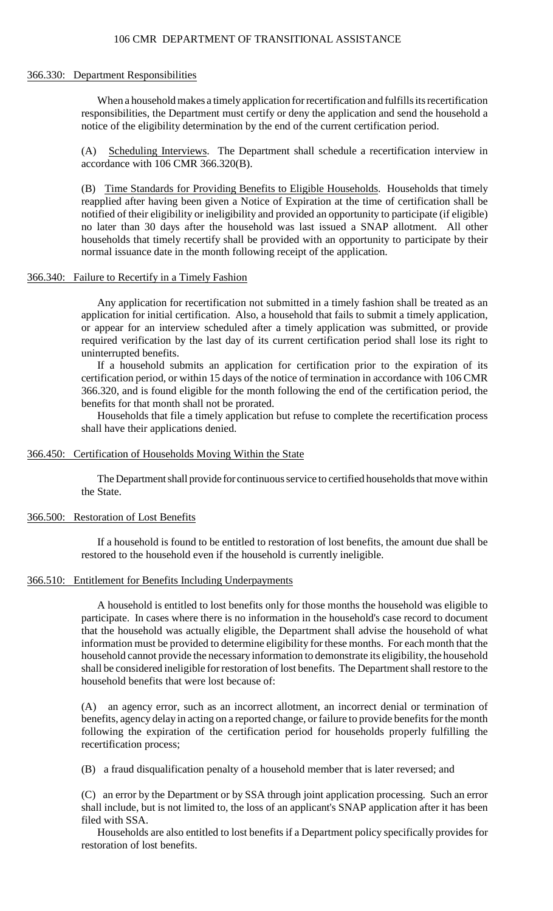### 366.330: Department Responsibilities

 responsibilities, the Department must certify or deny the application and send the household a When a household makes a timely application for recertification and fulfills its recertification notice of the eligibility determination by the end of the current certification period.

(A) Scheduling Interviews. The Department shall schedule a recertification interview in accordance with 106 CMR 366.320(B).

(B) Time Standards for Providing Benefits to Eligible Households. Households that timely households that timely recertify shall be provided with an opportunity to participate by their reapplied after having been given a Notice of Expiration at the time of certification shall be notified of their eligibility or ineligibility and provided an opportunity to participate (if eligible) no later than 30 days after the household was last issued a SNAP allotment. All other normal issuance date in the month following receipt of the application.

## 366.340: Failure to Recertify in a Timely Fashion

 Any application for recertification not submitted in a timely fashion shall be treated as an application for initial certification. Also, a household that fails to submit a timely application, or appear for an interview scheduled after a timely application was submitted, or provide required verification by the last day of its current certification period shall lose its right to uninterrupted benefits.

If a household submits an application for certification prior to the expiration of its certification period, or within 15 days of the notice of termination in accordance with 106 CMR 366.320, and is found eligible for the month following the end of the certification period, the benefits for that month shall not be prorated.

Households that file a timely application but refuse to complete the recertification process shall have their applications denied.

# 366.450: Certification of Households Moving Within the State

The Department shall provide for continuous service to certified households that move within the State.

### 366.500: Restoration of Lost Benefits

If a household is found to be entitled to restoration of lost benefits, the amount due shall be restored to the household even if the household is currently ineligible.

### 366.510: Entitlement for Benefits Including Underpayments

 A household is entitled to lost benefits only for those months the household was eligible to household cannot provide the necessary information to demonstrate its eligibility, the household participate. In cases where there is no information in the household's case record to document that the household was actually eligible, the Department shall advise the household of what information must be provided to determine eligibility for these months. For each month that the shall be considered ineligible for restoration of lost benefits. The Department shall restore to the household benefits that were lost because of:

 benefits, agency delay in acting on a reported change, or failure to provide benefits for the month (A) an agency error, such as an incorrect allotment, an incorrect denial or termination of following the expiration of the certification period for households properly fulfilling the recertification process;

(B) a fraud disqualification penalty of a household member that is later reversed; and

(C) an error by the Department or by SSA through joint application processing. Such an error shall include, but is not limited to, the loss of an applicant's SNAP application after it has been filed with SSA.

Households are also entitled to lost benefits if a Department policy specifically provides for restoration of lost benefits.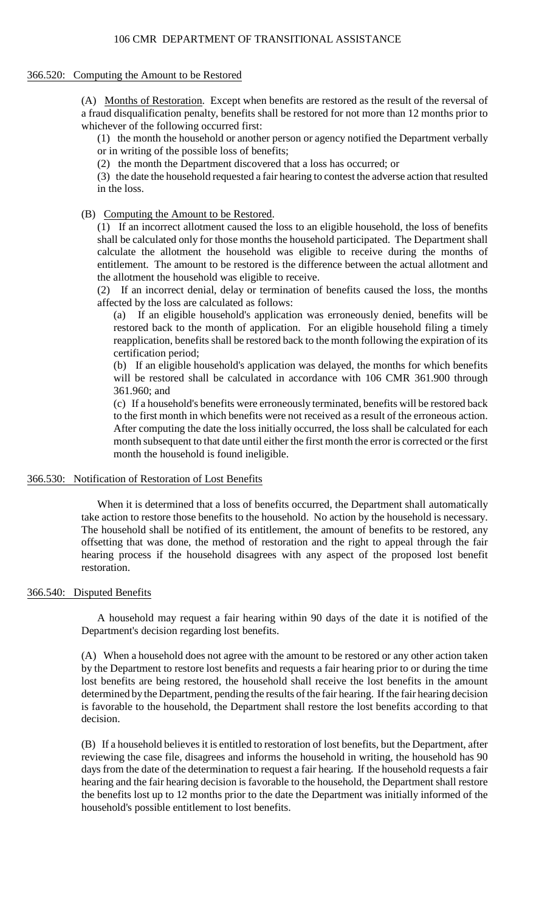# 106 CMR DEPARTMENT OF TRANSITIONAL ASSISTANCE

## 366.520: Computing the Amount to be Restored

 a fraud disqualification penalty, benefits shall be restored for not more than 12 months prior to (A) Months of Restoration. Except when benefits are restored as the result of the reversal of whichever of the following occurred first:

 (1) the month the household or another person or agency notified the Department verbally or in writing of the possible loss of benefits;

(2) the month the Department discovered that a loss has occurred; or

(3) the date the household requested a fair hearing to contest the adverse action that resulted in the loss.

# (B) Computing the Amount to be Restored.

 entitlement. The amount to be restored is the difference between the actual allotment and (1) If an incorrect allotment caused the loss to an eligible household, the loss of benefits shall be calculated only for those months the household participated. The Department shall calculate the allotment the household was eligible to receive during the months of the allotment the household was eligible to receive.

 (2) If an incorrect denial, delay or termination of benefits caused the loss, the months affected by the loss are calculated as follows:

(a) If an eligible household's application was erroneously denied, benefits will be restored back to the month of application. For an eligible household filing a timely reapplication, benefits shall be restored back to the month following the expiration of its certification period;

(b) If an eligible household's application was delayed, the months for which benefits will be restored shall be calculated in accordance with 106 CMR 361.900 through 361.960; and

(c) If a household's benefits were erroneously terminated, benefits will be restored back to the first month in which benefits were not received as a result of the erroneous action. After computing the date the loss initially occurred, the loss shall be calculated for each month subsequent to that date until either the first month the error is corrected or the first month the household is found ineligible.

# 366.530: Notification of Restoration of Lost Benefits

 When it is determined that a loss of benefits occurred, the Department shall automatically take action to restore those benefits to the household. No action by the household is necessary. The household shall be notified of its entitlement, the amount of benefits to be restored, any offsetting that was done, the method of restoration and the right to appeal through the fair hearing process if the household disagrees with any aspect of the proposed lost benefit restoration.

# 366.540: Disputed Benefits

 A household may request a fair hearing within 90 days of the date it is notified of the Department's decision regarding lost benefits.

 by the Department to restore lost benefits and requests a fair hearing prior to or during the time (A) When a household does not agree with the amount to be restored or any other action taken lost benefits are being restored, the household shall receive the lost benefits in the amount determined by the Department, pending the results of the fair hearing. If the fair hearing decision is favorable to the household, the Department shall restore the lost benefits according to that decision.

 days from the date of the determination to request a fair hearing. If the household requests a fair (B) If a household believes it is entitled to restoration of lost benefits, but the Department, after reviewing the case file, disagrees and informs the household in writing, the household has 90 hearing and the fair hearing decision is favorable to the household, the Department shall restore the benefits lost up to 12 months prior to the date the Department was initially informed of the household's possible entitlement to lost benefits.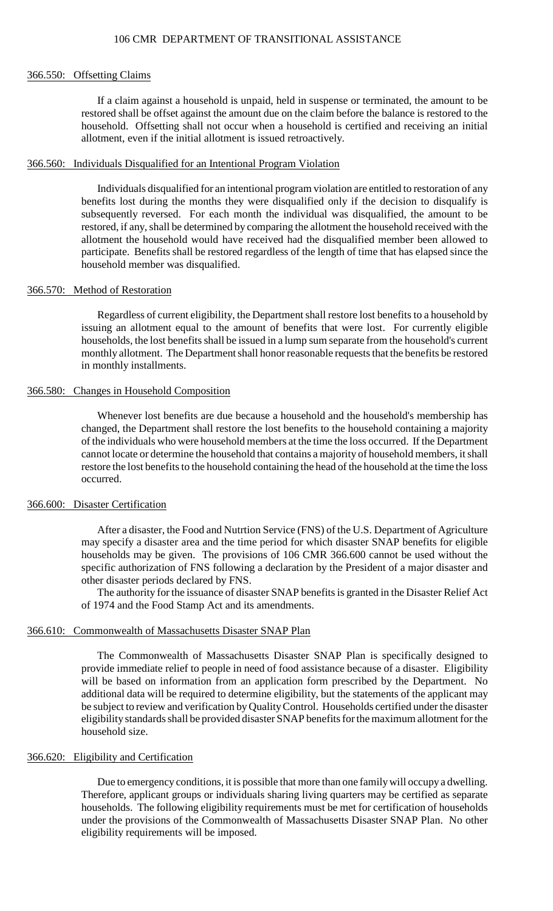### 366.550: Offsetting Claims

If a claim against a household is unpaid, held in suspense or terminated, the amount to be restored shall be offset against the amount due on the claim before the balance is restored to the household. Offsetting shall not occur when a household is certified and receiving an initial allotment, even if the initial allotment is issued retroactively.

### 366.560: Individuals Disqualified for an Intentional Program Violation

 benefits lost during the months they were disqualified only if the decision to disqualify is Individuals disqualified for an intentional program violation are entitled to restoration of any subsequently reversed. For each month the individual was disqualified, the amount to be restored, if any, shall be determined by comparing the allotment the household received with the allotment the household would have received had the disqualified member been allowed to participate. Benefits shall be restored regardless of the length of time that has elapsed since the household member was disqualified.

### 366.570: Method of Restoration

Regardless of current eligibility, the Department shall restore lost benefits to a household by issuing an allotment equal to the amount of benefits that were lost. For currently eligible households, the lost benefits shall be issued in a lump sum separate from the household's current monthly allotment. The Department shall honor reasonable requests that the benefits be restored in monthly installments.

### 366.580: Changes in Household Composition

Whenever lost benefits are due because a household and the household's membership has changed, the Department shall restore the lost benefits to the household containing a majority of the individuals who were household members at the time the loss occurred. If the Department cannot locate or determine the household that contains a majority of household members, it shall restore the lost benefits to the household containing the head of the household at the time the loss occurred.

# 366.600: Disaster Certification

After a disaster, the Food and Nutrtion Service (FNS) of the U.S. Department of Agriculture may specify a disaster area and the time period for which disaster SNAP benefits for eligible households may be given. The provisions of 106 CMR 366.600 cannot be used without the specific authorization of FNS following a declaration by the President of a major disaster and other disaster periods declared by FNS.

The authority for the issuance of disaster SNAP benefits is granted in the Disaster Relief Act of 1974 and the Food Stamp Act and its amendments.

### 366.610: Commonwealth of Massachusetts Disaster SNAP Plan

 provide immediate relief to people in need of food assistance because of a disaster. Eligibility The Commonwealth of Massachusetts Disaster SNAP Plan is specifically designed to will be based on information from an application form prescribed by the Department. No additional data will be required to determine eligibility, but the statements of the applicant may be subject to review and verification by Quality Control. Households certified under the disaster eligibility standards shall be provided disaster SNAP benefits for the maximum allotment for the household size.

# 366.620: Eligibility and Certification

 Due to emergency conditions, it is possible that more than one family will occupy a dwelling. Therefore, applicant groups or individuals sharing living quarters may be certified as separate households. The following eligibility requirements must be met for certification of households under the provisions of the Commonwealth of Massachusetts Disaster SNAP Plan. No other eligibility requirements will be imposed.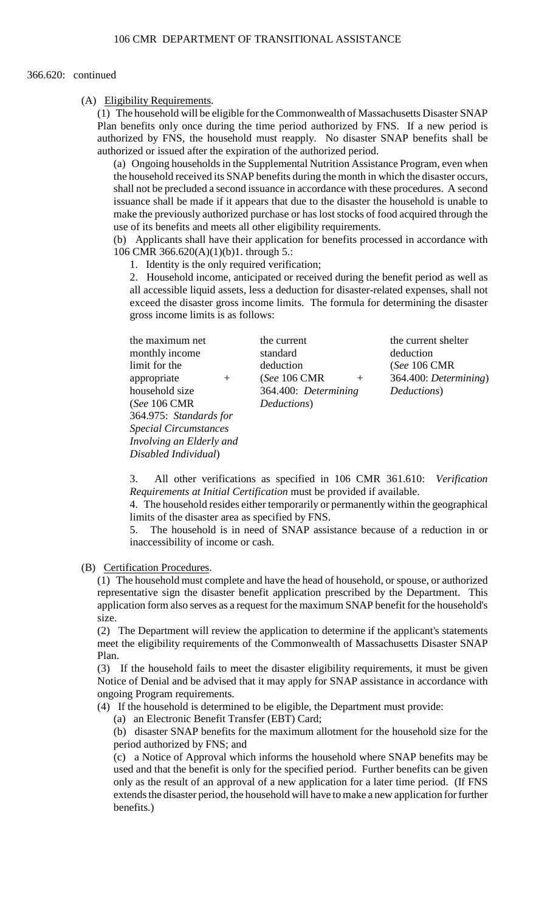### 366.620: continued

## (A) Eligibility Requirements.

(1) The household will be eligible for the Commonwealth of Massachusetts Disaster SNAP Plan benefits only once during the time period authorized by FNS. If a new period is authorized by FNS, the household must reapply. No disaster SNAP benefits shall be authorized or issued after the expiration of the authorized period.

 the household received its SNAP benefits during the month in which the disaster occurs, (a) Ongoing households in the Supplemental Nutrition Assistance Program, even when shall not be precluded a second issuance in accordance with these procedures. A second issuance shall be made if it appears that due to the disaster the household is unable to make the previously authorized purchase or has lost stocks of food acquired through the use of its benefits and meets all other eligibility requirements.

(b) Applicants shall have their application for benefits processed in accordance with 106 CMR 366.620(A)(1)(b)1. through 5.:

1. Identity is the only required verification;

2. Household income, anticipated or received during the benefit period as well as all accessible liquid assets, less a deduction for disaster-related expenses, shall not exceed the disaster gross income limits. The formula for determining the disaster gross income limits is as follows:

the maximum net the current the current the current shelter (*See* 106 CMR *Deductions*) 364.975: *Standards for Special Circumstances Involving an Elderly and Disabled Individual*)

monthly income standard deduction limit for the deduction (*See* 106 CMR appropriate + (*See* 106 CMR + 364.400: *Determining*) household size 364.400: *Determining Deductions*)

3. All other verifications as specified in 106 CMR 361.610: *Verification Requirements at Initial Certification* must be provided if available.

4. The household resides either temporarily or permanently within the geographical limits of the disaster area as specified by FNS.

5. The household is in need of SNAP assistance because of a reduction in or inaccessibility of income or cash.

(B) Certification Procedures.

 application form also serves as a request for the maximum SNAP benefit for the household's (1) The household must complete and have the head of household, or spouse, or authorized representative sign the disaster benefit application prescribed by the Department. This size.

(2) The Department will review the application to determine if the applicant's statements meet the eligibility requirements of the Commonwealth of Massachusetts Disaster SNAP Plan.

(3) If the household fails to meet the disaster eligibility requirements, it must be given Notice of Denial and be advised that it may apply for SNAP assistance in accordance with ongoing Program requirements.

(4) If the household is determined to be eligible, the Department must provide:

(a) an Electronic Benefit Transfer (EBT) Card;

(b) disaster SNAP benefits for the maximum allotment for the household size for the period authorized by FNS; and

 only as the result of an approval of a new application for a later time period. (If FNS (c) a Notice of Approval which informs the household where SNAP benefits may be used and that the benefit is only for the specified period. Further benefits can be given extends the disaster period, the household will have to make a new application for further benefits.)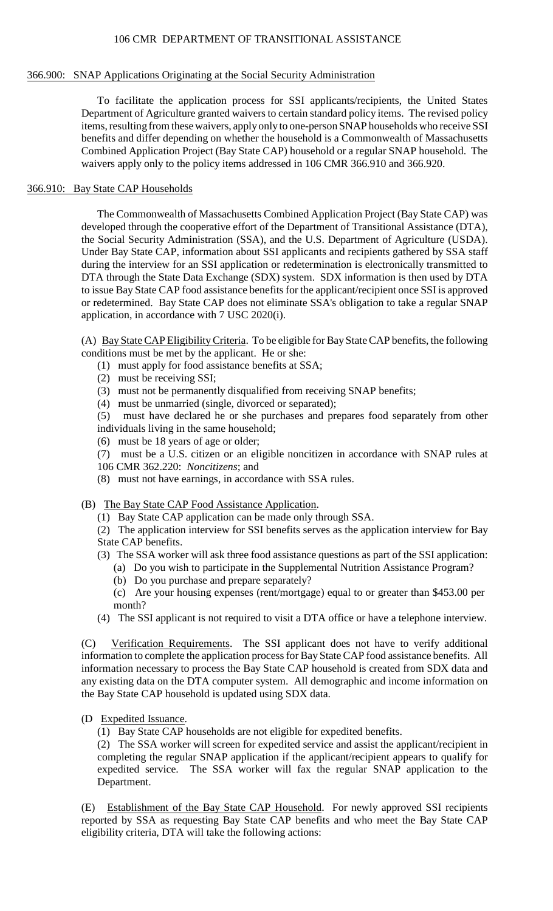# 366.900: SNAP Applications Originating at the Social Security Administration

 items, resulting from these waivers, apply only to one-person SNAP households who receive SSI benefits and differ depending on whether the household is a Commonwealth of Massachusetts To facilitate the application process for SSI applicants/recipients, the United States Department of Agriculture granted waivers to certain standard policy items. The revised policy Combined Application Project (Bay State CAP) household or a regular SNAP household. The waivers apply only to the policy items addressed in 106 CMR 366.910 and 366.920.

# 366.910: Bay State CAP Households

The Commonwealth of Massachusetts Combined Application Project (Bay State CAP) was developed through the cooperative effort of the Department of Transitional Assistance (DTA), the Social Security Administration (SSA), and the U.S. Department of Agriculture (USDA). Under Bay State CAP, information about SSI applicants and recipients gathered by SSA staff during the interview for an SSI application or redetermination is electronically transmitted to DTA through the State Data Exchange (SDX) system. SDX information is then used by DTA to issue Bay State CAP food assistance benefits for the applicant/recipient once SSI is approved or redetermined. Bay State CAP does not eliminate SSA's obligation to take a regular SNAP application, in accordance with 7 USC 2020(i).

(A) Bay State CAP Eligibility Criteria. To be eligible for Bay State CAP benefits, the following conditions must be met by the applicant. He or she:

- (1) must apply for food assistance benefits at SSA;
- (2) must be receiving SSI;
- (3) must not be permanently disqualified from receiving SNAP benefits;
- (4) must be unmarried (single, divorced or separated);

 $(5)$ must have declared he or she purchases and prepares food separately from other individuals living in the same household;

(6) must be 18 years of age or older;

(7) must be a U.S. citizen or an eligible noncitizen in accordance with SNAP rules at 106 CMR 362.220: *Noncitizens*; and

- (8) must not have earnings, in accordance with SSA rules.
- (B) The Bay State CAP Food Assistance Application.
	- (1) Bay State CAP application can be made only through SSA.

(2) The application interview for SSI benefits serves as the application interview for Bay State CAP benefits.

- (3) The SSA worker will ask three food assistance questions as part of the SSI application:
	- (a) Do you wish to participate in the Supplemental Nutrition Assistance Program?
	- (b) Do you purchase and prepare separately?

(c) Are your housing expenses (rent/mortgage) equal to or greater than \$453.00 per month?

(4) The SSI applicant is not required to visit a DTA office or have a telephone interview.

 information to complete the application process for Bay State CAP food assistance benefits. All (C) Verification Requirements. The SSI applicant does not have to verify additional information necessary to process the Bay State CAP household is created from SDX data and any existing data on the DTA computer system. All demographic and income information on the Bay State CAP household is updated using SDX data.

(D Expedited Issuance.

(1) Bay State CAP households are not eligible for expedited benefits.

 (2) The SSA worker will screen for expedited service and assist the applicant/recipient in completing the regular SNAP application if the applicant/recipient appears to qualify for expedited service. The SSA worker will fax the regular SNAP application to the Department.

 (E) Establishment of the Bay State CAP Household. For newly approved SSI recipients reported by SSA as requesting Bay State CAP benefits and who meet the Bay State CAP eligibility criteria, DTA will take the following actions: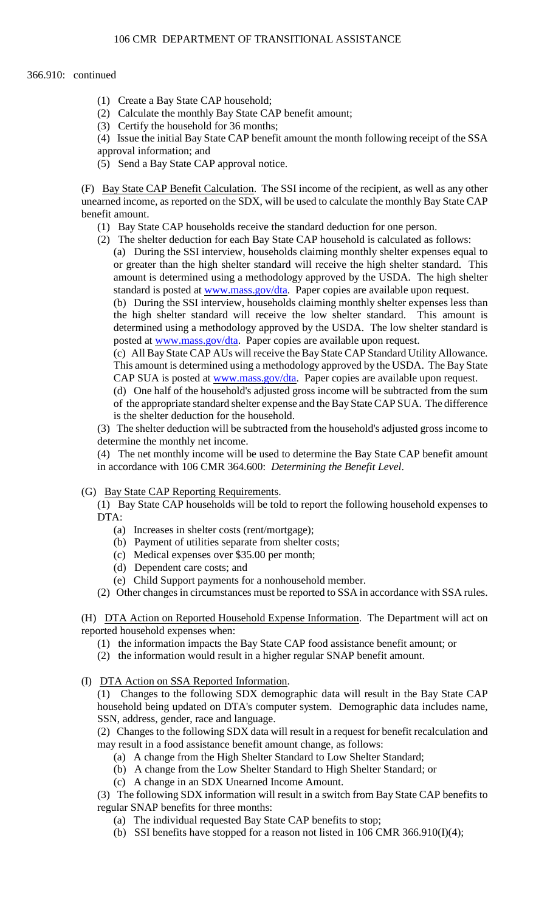# 366.910: continued

- (1) Create a Bay State CAP household;
- (2) Calculate the monthly Bay State CAP benefit amount;
- (3) Certify the household for 36 months;
- (4) Issue the initial Bay State CAP benefit amount the month following receipt of the SSA
- approval information; and
- (5) Send a Bay State CAP approval notice.

(F) Bay State CAP Benefit Calculation. The SSI income of the recipient, as well as any other unearned income, as reported on the SDX, will be used to calculate the monthly Bay State CAP benefit amount.

- (1) Bay State CAP households receive the standard deduction for one person.
- (2) The shelter deduction for each Bay State CAP household is calculated as follows:
	- (a) During the SSI interview, households claiming monthly shelter expenses equal to or greater than the high shelter standard will receive the high shelter standard. This amount is determined using a methodology approved by the USDA. The high shelter standard is posted at [www.mass.gov/dta](http://www.mass.gov/dta). Paper copies are available upon request.

 (b) During the SSI interview, households claiming monthly shelter expenses less than the high shelter standard will receive the low shelter standard. This amount is determined using a methodology approved by the USDA. The low shelter standard is posted at [www.mass.gov/dta](http://www.mass.gov/dta). Paper copies are available upon request.

 This amount is determined using a methodology approved by the USDA. The Bay State (c) All Bay State CAP AUs will receive the Bay State CAP Standard Utility Allowance. CAP SUA is posted at [www.mass.gov/dta](http://www.mass.gov/dta). Paper copies are available upon request.

(d) One half of the household's adjusted gross income will be subtracted from the sum of the appropriate standard shelter expense and the Bay State CAP SUA. The difference is the shelter deduction for the household.

(3) The shelter deduction will be subtracted from the household's adjusted gross income to determine the monthly net income.

(4) The net monthly income will be used to determine the Bay State CAP benefit amount in accordance with 106 CMR 364.600: *Determining the Benefit Level*.

# (G) Bay State CAP Reporting Requirements.

 (1) Bay State CAP households will be told to report the following household expenses to DTA:

- (a) Increases in shelter costs (rent/mortgage);
- (b) Payment of utilities separate from shelter costs;
- (c) Medical expenses over \$35.00 per month;
- (d) Dependent care costs; and
- (e) Child Support payments for a nonhousehold member.

(2) Other changes in circumstances must be reported to SSA in accordance with SSA rules.

(H) DTA Action on Reported Household Expense Information. The Department will act on reported household expenses when:

- (1) the information impacts the Bay State CAP food assistance benefit amount; or
- (2) the information would result in a higher regular SNAP benefit amount.
- (I) DTA Action on SSA Reported Information.

(1) Changes to the following SDX demographic data will result in the Bay State CAP household being updated on DTA's computer system. Demographic data includes name, SSN, address, gender, race and language.

(2) Changes to the following SDX data will result in a request for benefit recalculation and may result in a food assistance benefit amount change, as follows:

- (a) A change from the High Shelter Standard to Low Shelter Standard;
- (b) A change from the Low Shelter Standard to High Shelter Standard; or
- (c) A change in an SDX Unearned Income Amount.

 (3) The following SDX information will result in a switch from Bay State CAP benefits to regular SNAP benefits for three months:

- (a) The individual requested Bay State CAP benefits to stop;
- (b) SSI benefits have stopped for a reason not listed in 106 CMR 366.910(I)(4);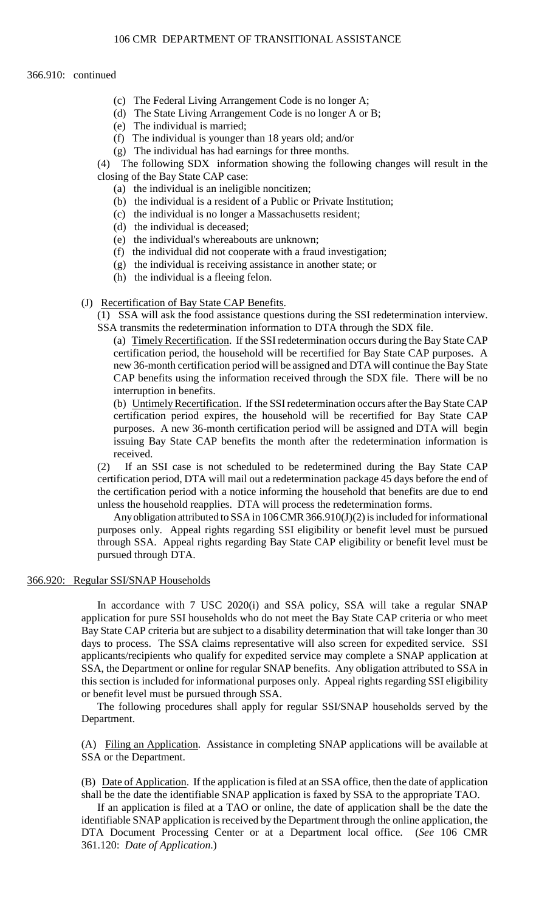### 366.910: continued

- (c) The Federal Living Arrangement Code is no longer A;
- (d) The State Living Arrangement Code is no longer A or B;
- (e) The individual is married;
- (f) The individual is younger than 18 years old; and/or
- (g) The individual has had earnings for three months.

(4) The following SDX information showing the following changes will result in the closing of the Bay State CAP case:

- (a) the individual is an ineligible noncitizen;
- (b) the individual is a resident of a Public or Private Institution;
- (c) the individual is no longer a Massachusetts resident;
- (d) the individual is deceased;
- (e) the individual's whereabouts are unknown;
- (f) the individual did not cooperate with a fraud investigation;
- (g) the individual is receiving assistance in another state; or
- (h) the individual is a fleeing felon.
- (J) Recertification of Bay State CAP Benefits.
	- (1) SSA will ask the food assistance questions during the SSI redetermination interview. SSA transmits the redetermination information to DTA through the SDX file.

 new 36-month certification period will be assigned and DTA will continue the Bay State (a) Timely Recertification. If the SSI redetermination occurs during the Bay State CAP certification period, the household will be recertified for Bay State CAP purposes. A CAP benefits using the information received through the SDX file. There will be no interruption in benefits.

(b) Untimely Recertification. If the SSI redetermination occurs after the Bay State CAP certification period expires, the household will be recertified for Bay State CAP purposes. A new 36-month certification period will be assigned and DTA will begin issuing Bay State CAP benefits the month after the redetermination information is received.

(2) If an SSI case is not scheduled to be redetermined during the Bay State CAP certification period, DTA will mail out a redetermination package 45 days before the end of the certification period with a notice informing the household that benefits are due to end unless the household reapplies. DTA will process the redetermination forms.

Any obligation attributed to SSA in 106 CMR 366.910(J)(2) is included for informational purposes only. Appeal rights regarding SSI eligibility or benefit level must be pursued through SSA. Appeal rights regarding Bay State CAP eligibility or benefit level must be pursued through DTA.

### 366.920: Regular SSI/SNAP Households

 In accordance with 7 USC 2020(i) and SSA policy, SSA will take a regular SNAP days to process. The SSA claims representative will also screen for expedited service. SSI applicants/recipients who qualify for expedited service may complete a SNAP application at SSA, the Department or online for regular SNAP benefits. Any obligation attributed to SSA in application for pure SSI households who do not meet the Bay State CAP criteria or who meet Bay State CAP criteria but are subject to a disability determination that will take longer than 30 this section is included for informational purposes only. Appeal rights regarding SSI eligibility or benefit level must be pursued through SSA.

 The following procedures shall apply for regular SSI/SNAP households served by the Department.

(A) Filing an Application. Assistance in completing SNAP applications will be available at SSA or the Department.

(B) Date of Application. If the application is filed at an SSA office, then the date of application shall be the date the identifiable SNAP application is faxed by SSA to the appropriate TAO.

If an application is filed at a TAO or online, the date of application shall be the date the identifiable SNAP application is received by the Department through the online application, the DTA Document Processing Center or at a Department local office. (*See* 106 CMR 361.120: *Date of Application*.)